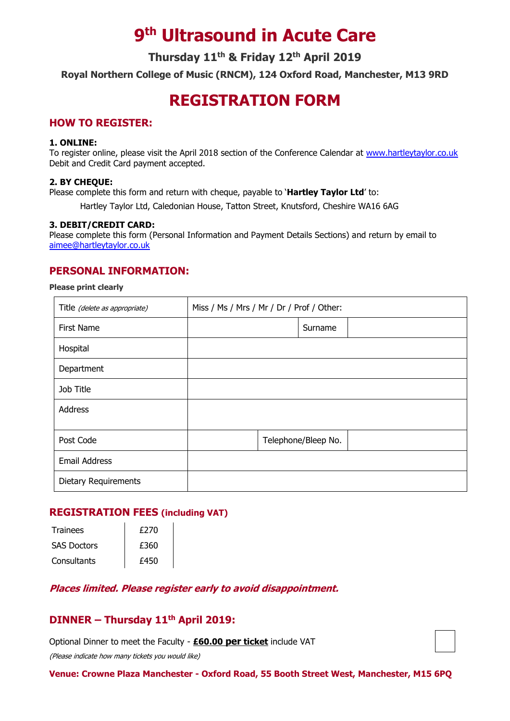# **9 th Ultrasound in Acute Care**

**Thursday 11th & Friday 12th April 2019**

**Royal Northern College of Music (RNCM), 124 Oxford Road, Manchester, M13 9RD**

## **REGISTRATION FORM**

## **HOW TO REGISTER:**

#### **1. ONLINE:**

To register online, please visit the April 2018 section of the Conference Calendar at [www.hartleytaylor.co.uk](http://www.hartleytaylor.co.uk/) Debit and Credit Card payment accepted.

#### **2. BY CHEQUE:**

Please complete this form and return with cheque, payable to '**Hartley Taylor Ltd**' to:

Hartley Taylor Ltd, Caledonian House, Tatton Street, Knutsford, Cheshire WA16 6AG

#### **3. DEBIT/CREDIT CARD:**

Please complete this form (Personal Information and Payment Details Sections) and return by email to [aimee@hartleytaylor.co.uk](mailto:aimee@hartleytaylor.co.uk)

## **PERSONAL INFORMATION:**

#### **Please print clearly**

| Title (delete as appropriate) | Miss / Ms / Mrs / Mr / Dr / Prof / Other: |  |                     |  |
|-------------------------------|-------------------------------------------|--|---------------------|--|
| First Name                    |                                           |  | Surname             |  |
| Hospital                      |                                           |  |                     |  |
| Department                    |                                           |  |                     |  |
| Job Title                     |                                           |  |                     |  |
| Address                       |                                           |  |                     |  |
|                               |                                           |  |                     |  |
| Post Code                     |                                           |  | Telephone/Bleep No. |  |
| <b>Email Address</b>          |                                           |  |                     |  |
| <b>Dietary Requirements</b>   |                                           |  |                     |  |

### **REGISTRATION FEES (including VAT)**

| <b>Trainees</b>    | £270 |  |
|--------------------|------|--|
| <b>SAS Doctors</b> | £360 |  |
| Consultants        | £450 |  |

### **Places limited. Please register early to avoid disappointment.**

## **DINNER – Thursday 11th April 2019:**

Optional Dinner to meet the Faculty - **£60.00 per ticket** include VAT

(Please indicate how many tickets you would like)

**Venue: Crowne Plaza Manchester - Oxford Road, 55 Booth Street West, Manchester, M15 6PQ**